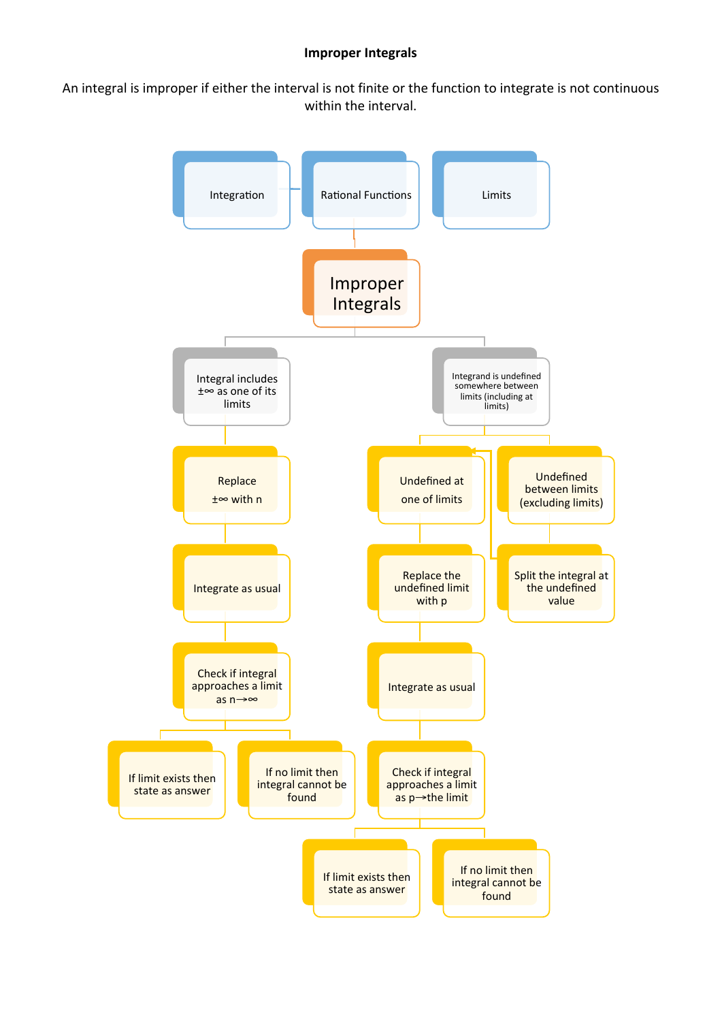## **Improper Integrals**

An integral is improper if either the interval is not finite or the function to integrate is not continuous within the interval.